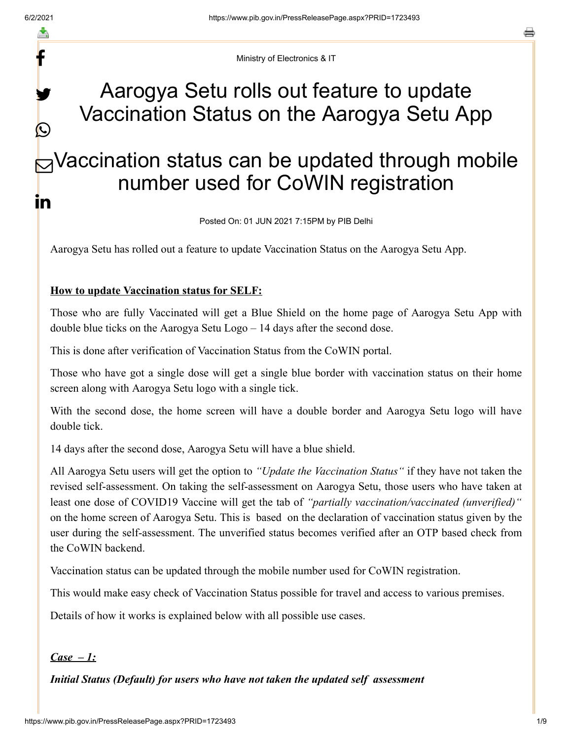y.

 $\bigcirc$ 

a

Ministry of Electronics & IT

# Aarogya Setu rolls out feature to update Vaccination Status on the Aarogya Setu App

# $\bigtriangledown$ Vaccination status can be updated through mobile number used for CoWIN registration in

Posted On: 01 JUN 2021 7:15PM by PIB Delhi

Aarogya Setu has rolled out a feature to update Vaccination Status on the Aarogya Setu App.

#### **How to update Vaccination status for SELF:**

Those who are fully Vaccinated will get a Blue Shield on the home page of Aarogya Setu App with double blue ticks on the Aarogya Setu Logo – 14 days after the second dose.

This is done after verification of Vaccination Status from the CoWIN portal.

Those who have got a single dose will get a single blue border with vaccination status on their home screen along with Aarogya Setu logo with a single tick.

With the second dose, the home screen will have a double border and Aarogya Setu logo will have double tick.

14 days after the second dose, Aarogya Setu will have a blue shield.

All Aarogya Setu users will get the option to *"Update the Vaccination Status"* if they have not taken the revised self-assessment. On taking the self-assessment on Aarogya Setu, those users who have taken at least one dose of COVID19 Vaccine will get the tab of *"partially vaccination/vaccinated (unverified)"* on the home screen of Aarogya Setu. This is based on the declaration of vaccination status given by the user during the self-assessment. The unverified status becomes verified after an OTP based check from the CoWIN backend.

Vaccination status can be updated through the mobile number used for CoWIN registration.

This would make easy check of Vaccination Status possible for travel and access to various premises.

Details of how it works is explained below with all possible use cases.

#### *Case – 1:*

*Initial Status (Default) for users who have not taken the updated self assessment*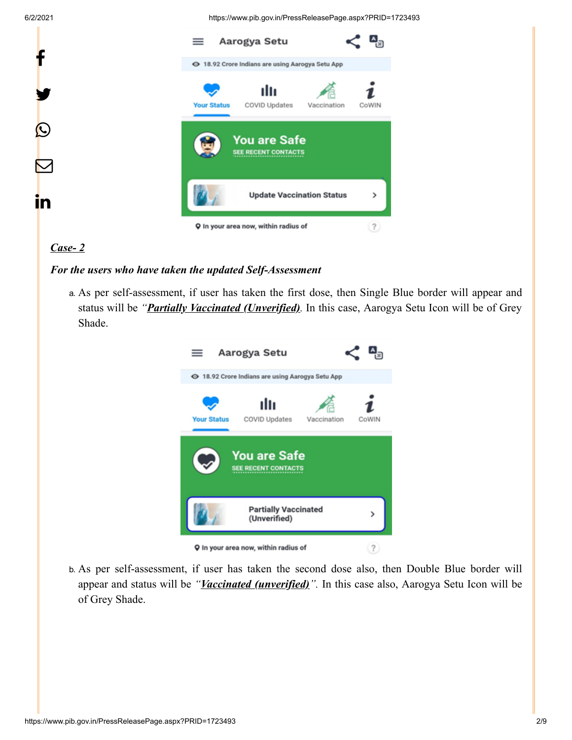6/2/2021 https://www.pib.gov.in/PressReleasePage.aspx?PRID=1723493



# *Case- 2*

#### *For the users who have taken the updated Self-Assessment*

a. As per self-assessment, if user has taken the first dose, then Single Blue border will appear and status will be *"Partially Vaccinated (Unverified).* In this case, Aarogya Setu Icon will be of Grey Shade.



b. As per self-assessment, if user has taken the second dose also, then Double Blue border will appear and status will be *"Vaccinated (unverified)".* In this case also, Aarogya Setu Icon will be of Grey Shade.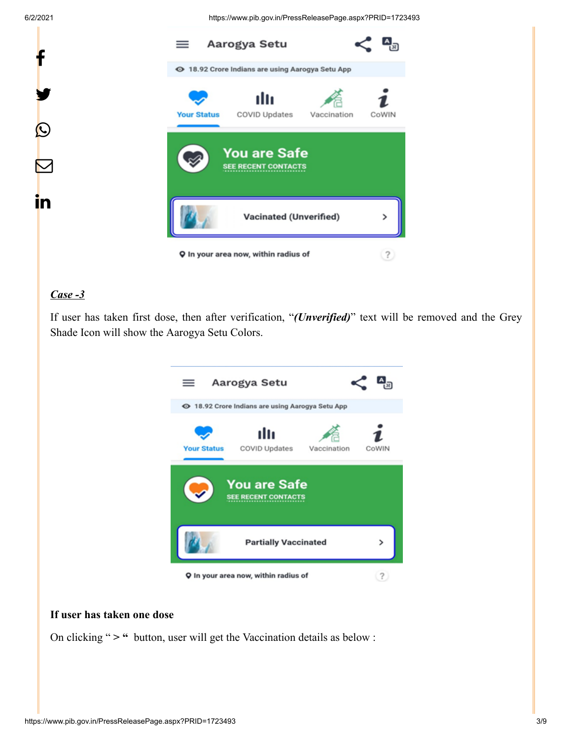6/2/2021 https://www.pib.gov.in/PressReleasePage.aspx?PRID=1723493



# *Case -3*

If user has taken first dose, then after verification, "*(Unverified)*" text will be removed and the Grey Shade Icon will show the Aarogya Setu Colors.



#### **If user has taken one dose**

On clicking " **> "** button, user will get the Vaccination details as below :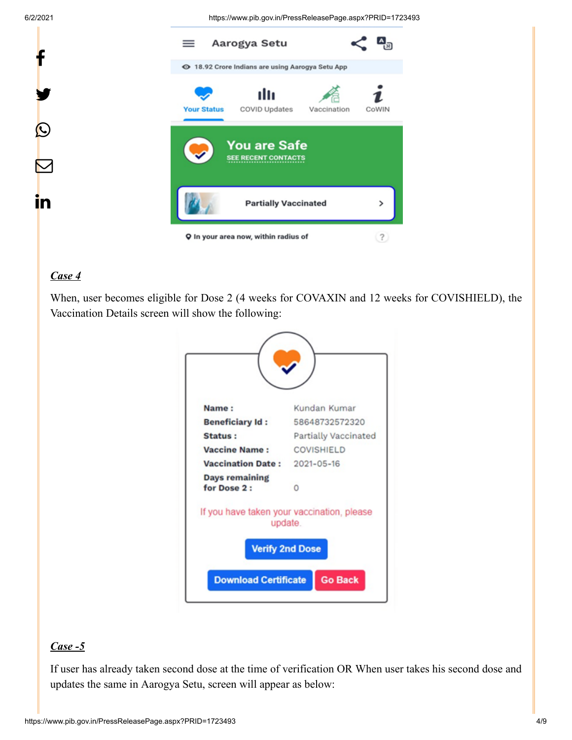y.

P

 $\overline{\nabla}$ 

in

6/2/2021 https://www.pib.gov.in/PressReleasePage.aspx?PRID=1723493



## *Case 4*

When, user becomes eligible for Dose 2 (4 weeks for COVAXIN and 12 weeks for COVISHIELD), the Vaccination Details screen will show the following:



#### *Case -5*

If user has already taken second dose at the time of verification OR When user takes his second dose and updates the same in Aarogya Setu, screen will appear as below: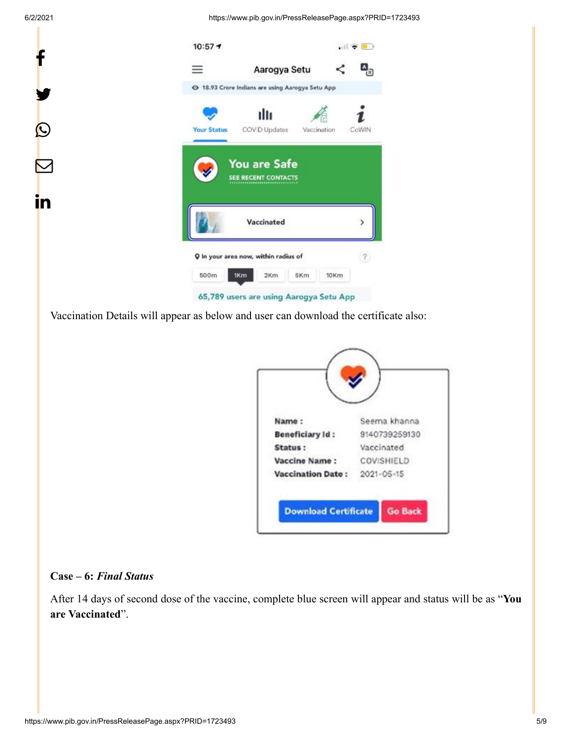6/2/2021 https://www.pib.gov.in/PressReleasePage.aspx?PRID=1723493



Vaccination Details will appear as below and user can download the certificate also:

| Name:                    | Seema khanna  |
|--------------------------|---------------|
| <b>Beneficiary Id:</b>   | 9140739259130 |
| Status:                  | Vaccinated    |
| Vaccine Name:            | COVISHIELD    |
| <b>Vaccination Date:</b> | 2021-05-15    |

#### **Case – 6:** *Final Status*

After 14 days of second dose of the vaccine, complete blue screen will appear and status will be as "**You are Vaccinated**".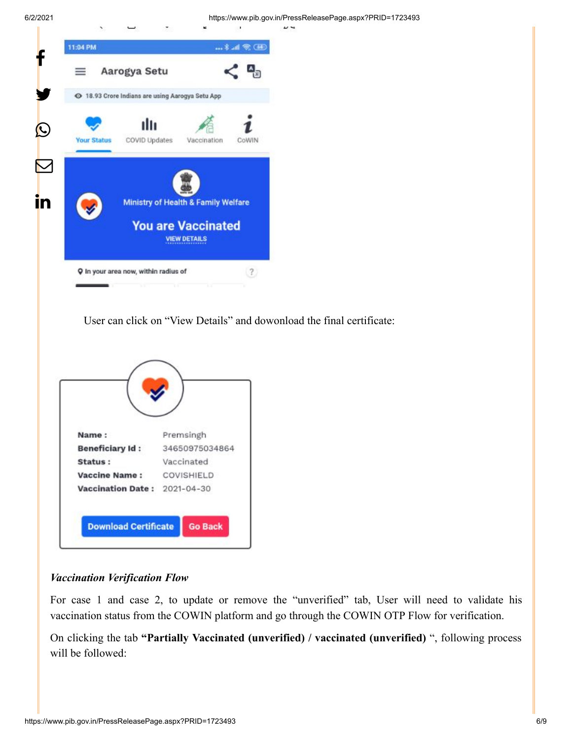6/2/2021 https://www.pib.gov.in/PressReleasePage.aspx?PRID=1723493



User can click on "View Details" and dowonload the final certificate:



#### *Vaccination Verification Flow*

For case 1 and case 2, to update or remove the "unverified" tab, User will need to validate his vaccination status from the COWIN platform and go through the COWIN OTP Flow for verification.

On clicking the tab **"Partially Vaccinated (unverified) / vaccinated (unverified)** ", following process will be followed: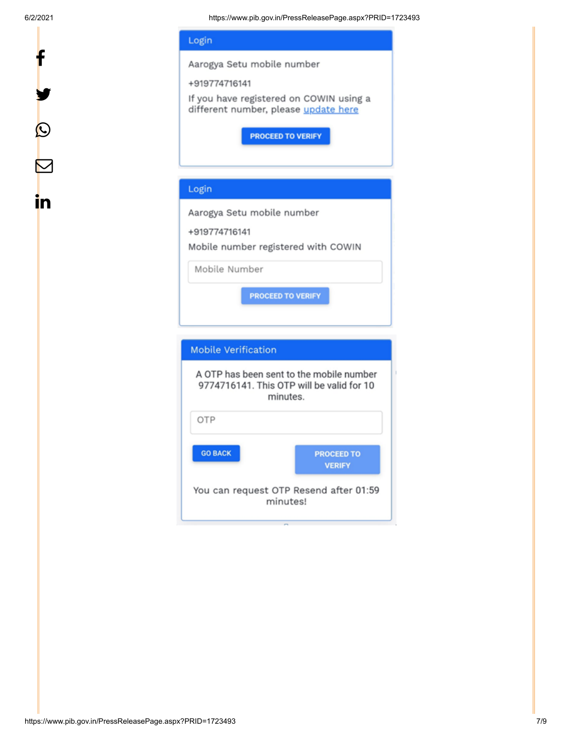y.

 $\boldsymbol{\mathcal{Q}}$ 

 $\bm{\nabla}$ 

<u>in</u>



minutes. OTP **GO BACK PROCEED TO VERIFY** You can request OTP Resend after 01:59 minutes!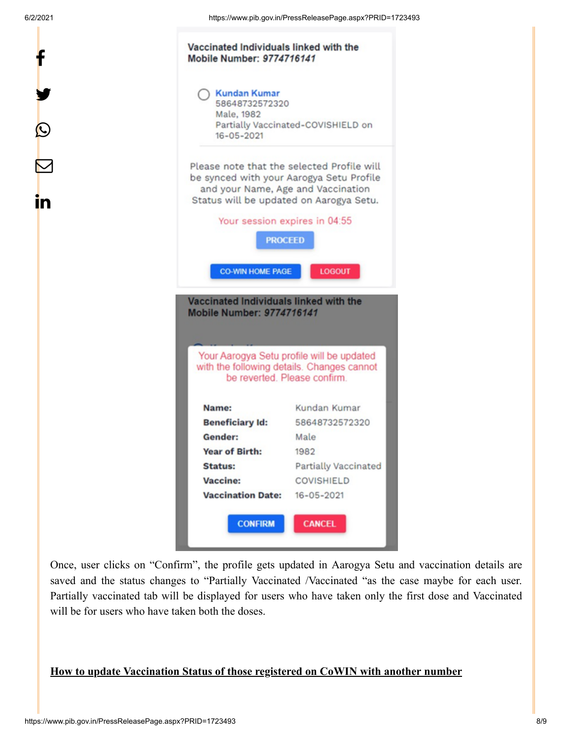y.

 $\bm{\mathcal{Q}}$ 

 $\bm{\nabla}$ 

in

| <b>Kundan Kumar</b>                                                                                   |                                                                                           |
|-------------------------------------------------------------------------------------------------------|-------------------------------------------------------------------------------------------|
| 58648732572320                                                                                        |                                                                                           |
| Male, 1982                                                                                            | Partially Vaccinated-COVISHIELD on                                                        |
| $16 - 05 - 2021$                                                                                      |                                                                                           |
| Please note that the selected Profile will                                                            |                                                                                           |
| be synced with your Aarogya Setu Profile<br>and your Name, Age and Vaccination                        |                                                                                           |
| Status will be updated on Aarogya Setu.                                                               |                                                                                           |
|                                                                                                       | Your session expires in 04:55                                                             |
|                                                                                                       |                                                                                           |
| <b>PROCEED</b>                                                                                        |                                                                                           |
| <b>CO-WIN HOME PAGE</b><br>Vaccinated Individuals linked with the<br><b>Mobile Number: 9774716141</b> | <b>LOGOUT</b>                                                                             |
| Name:                                                                                                 | Your Aarogya Setu profile will be updated<br>be reverted. Please confirm.<br>Kundan Kumar |
| <b>Beneficiary Id:</b>                                                                                | with the following details. Changes cannot<br>58648732572320                              |
| Gender:                                                                                               | Male                                                                                      |
| <b>Year of Birth:</b>                                                                                 | 1982                                                                                      |
| <b>Status:</b>                                                                                        | <b>Partially Vaccinated</b>                                                               |
| Vaccine:                                                                                              | <b>COVISHIELD</b>                                                                         |

Once, user clicks on "Confirm", the profile gets updated in Aarogya Setu and vaccination details are saved and the status changes to "Partially Vaccinated /Vaccinated "as the case maybe for each user. Partially vaccinated tab will be displayed for users who have taken only the first dose and Vaccinated will be for users who have taken both the doses.

# **How to update Vaccination Status of those registered on CoWIN with another number**